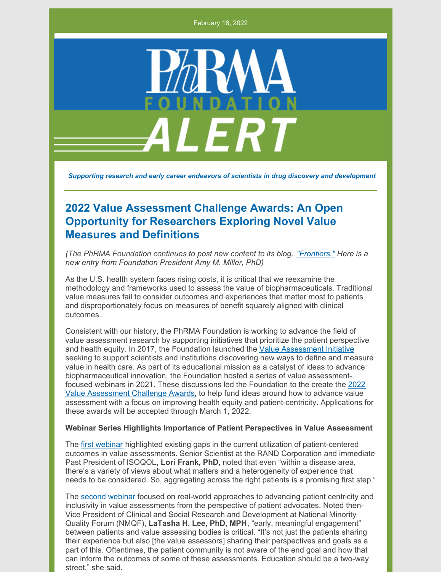February 18, 2022



*Supporting research and early career endeavors of scientists in drug discovery and development*

## **2022 Value Assessment Challenge Awards: An Open Opportunity for Researchers Exploring Novel Value Measures and Definitions**

*(The PhRMA Foundation continues to post new content to its blog, ["Frontiers."](https://www.phrmafoundation.org/blog/) Here is a new entry from Foundation President Amy M. Miller, PhD)*

As the U.S. health system faces rising costs, it is critical that we reexamine the methodology and frameworks used to assess the value of biopharmaceuticals. Traditional value measures fail to consider outcomes and experiences that matter most to patients and disproportionately focus on measures of benefit squarely aligned with clinical outcomes.

Consistent with our history, the PhRMA Foundation is working to advance the field of value assessment research by supporting initiatives that prioritize the patient perspective and health equity. In 2017, the Foundation launched the Value [Assessment](https://www.phrmafoundation.org/value-assessment/) Initiative seeking to support scientists and institutions discovering new ways to define and measure value in health care. As part of its educational mission as a catalyst of ideas to advance biopharmaceutical innovation, the Foundation hosted a series of value assessmentfocused webinars in 2021. These [discussions](https://www.phrmafoundation.org/wp-content/uploads/2022/01/Challenge-Award-Questions-News-1.10.2022-FINAL-v3e.pdf) led the Foundation to the create the 2022 Value Assessment Challenge Awards, to help fund ideas around how to advance value assessment with a focus on improving health equity and patient-centricity. Applications for these awards will be accepted through March 1, 2022.

## **Webinar Series Highlights Importance of Patient Perspectives in Value Assessment**

The first [webinar](https://www.youtube.com/watch?v=pqQSQAWiKYw&t=2s) highlighted existing gaps in the current utilization of patient-centered outcomes in value assessments. Senior Scientist at the RAND Corporation and immediate Past President of ISOQOL, **Lori Frank, PhD**, noted that even "within a disease area, there's a variety of views about what matters and a heterogeneity of experience that needs to be considered. So, aggregating across the right patients is a promising first step."

The second [webinar](https://www.youtube.com/watch?v=MncVcmSjIbA&t=53s) focused on real-world approaches to advancing patient centricity and inclusivity in value assessments from the perspective of patient advocates. Noted then-Vice President of Clinical and Social Research and Development at National Minority Quality Forum (NMQF), **LaTasha H. Lee, PhD, MPH**, "early, meaningful engagement" between patients and value assessing bodies is critical. "It's not just the patients sharing their experience but also [the value assessors] sharing their perspectives and goals as a part of this. Oftentimes, the patient community is not aware of the end goal and how that can inform the outcomes of some of these assessments. Education should be a two-way street," she said.